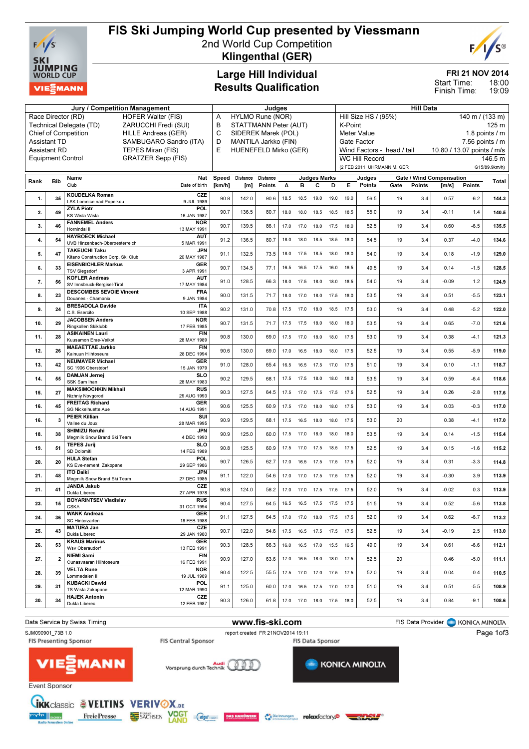

## FIS Ski Jumping World Cup presented by Viessmann

2nd World Cup Competition



Klingenthal (GER)

### Large Hill Individual Results Qualification

## FRI 21 NOV 2014

18:00 19:09 Start Time: Finish Time:

| Jury / Competition Management                                        |                         |                                                                                    |                 | Judges                 |                           |      |                              |                |      | <b>Hill Data</b>                                                                  |                    |                            |        |                                   |               |                          |  |
|----------------------------------------------------------------------|-------------------------|------------------------------------------------------------------------------------|-----------------|------------------------|---------------------------|------|------------------------------|----------------|------|-----------------------------------------------------------------------------------|--------------------|----------------------------|--------|-----------------------------------|---------------|--------------------------|--|
| Race Director (RD)<br><b>HOFER Walter (FIS)</b>                      |                         |                                                                                    | Α               | HYLMO Rune (NOR)       |                           |      |                              |                |      | Hill Size HS / (95%)<br>140 m / (133 m)                                           |                    |                            |        |                                   |               |                          |  |
| ZARUCCHI Fredi (SUI)<br>Technical Delegate (TD)                      |                         |                                                                                    | B               | STATTMANN Peter (AUT)  |                           |      |                              |                |      | K-Point                                                                           |                    |                            |        |                                   |               | 125 <sub>m</sub>         |  |
| Chief of Competition<br>HILLE Andreas (GER)                          |                         |                                                                                    | C               | SIDEREK Marek (POL)    |                           |      |                              |                |      |                                                                                   | <b>Meter Value</b> |                            |        |                                   |               | 1.8 points $/$ m         |  |
| <b>Assistant TD</b><br>SAMBUGARO Sandro (ITA)<br><b>Assistant RD</b> |                         |                                                                                    | D               | MANTILA Jarkko (FIN)   |                           |      |                              |                |      | Gate Factor                                                                       |                    |                            |        |                                   |               | $7.56$ points $/ m$      |  |
|                                                                      |                         | TEPES Miran (FIS)<br><b>GRATZER Sepp (FIS)</b><br><b>Equipment Control</b>         | E               | HUENEFELD Mirko (GER)  |                           |      |                              |                |      | Wind Factors - head / tail<br>10.80 / 13.07 points / m/s<br><b>WC Hill Record</b> |                    |                            |        |                                   |               |                          |  |
|                                                                      |                         |                                                                                    |                 |                        |                           |      |                              |                |      |                                                                                   |                    | (2 FEB 2011 UHRMANN M. GER |        |                                   |               | 146.5 m<br>G15/89.9km/h) |  |
|                                                                      |                         |                                                                                    |                 |                        | <b>Judges Marks</b>       |      |                              |                |      |                                                                                   |                    |                            |        |                                   |               |                          |  |
| Rank                                                                 | <b>Bib</b>              | Nat<br>Name<br>Club<br>Date of birth                                               | Speed<br>[km/h] | <b>Distance</b><br>[m] | <b>Distance</b><br>Points | A    | в                            | с              | D    | Е.                                                                                | Judges<br>Points   | Gate                       | Points | Gate / Wind Compensation<br>[m/s] | <b>Points</b> | Total                    |  |
|                                                                      |                         | <b>KOUDELKA Roman</b><br>CZE                                                       |                 |                        |                           |      |                              |                |      |                                                                                   |                    |                            |        |                                   |               |                          |  |
| 1.                                                                   | 35                      | LSK Lomnice nad Popelkou<br>9 JUL 1989                                             | 90.8            | 142.0                  | 90.6                      | 18.5 | 18.5                         | 19.0           | 19.0 | 19.0                                                                              | 56.5               | 19                         | 3.4    | 0.57                              | $-6.2$        | 144.3                    |  |
| 2.                                                                   | 49                      | <b>ZYLA Piotr</b><br>POL                                                           | 90.7            | 136.5                  | 80.7                      | 18.0 | 18.0                         | 18.5           | 18.5 | 18.5                                                                              | 55.0               | 19                         | 3.4    | $-0.11$                           | 1.4           | 140.5                    |  |
|                                                                      |                         | <b>KS Wisla Wisla</b><br>16 JAN 1987<br><b>FANNEMEL Anders</b><br><b>NOR</b>       |                 |                        |                           |      |                              |                |      |                                                                                   |                    |                            |        |                                   |               |                          |  |
| 3.                                                                   | 46                      | Hornindal II<br>13 MAY 1991                                                        | 90.7            | 139.5                  | 86.1                      |      | 17.0 17.0                    | 18.0           | 17.5 | 18.0                                                                              | 52.5               | 19                         | 3.4    | 0.60                              | $-6.5$        | 135.5                    |  |
| 4.                                                                   | 54                      | <b>HAYBOECK Michael</b><br><b>AUT</b>                                              | 91.2            | 136.5                  | 80.7                      | 18.0 | 18.0                         | 18.5           | 18.5 | 18.0                                                                              | 54.5               | 19                         | 3.4    | 0.37                              | $-4.0$        | 134.6                    |  |
|                                                                      |                         | UVB Hinzenbach-Oberoesterreich<br>5 MAR 1991<br><b>JPN</b><br><b>TAKEUCHI Taku</b> |                 |                        |                           |      |                              |                |      |                                                                                   |                    |                            |        |                                   |               |                          |  |
| 5.                                                                   | 47                      | Kitano Construction Corp. Ski Club<br>20 MAY 1987                                  | 91.1            | 132.5                  | 73.5                      |      | 18.0 17.5                    | 18.5           | 18.0 | 18.0                                                                              | 54.0               | 19                         | 3.4    | 0.18                              | $-1.9$        | 129.0                    |  |
| 6.                                                                   | 33                      | <b>EISENBICHLER Markus</b><br><b>GER</b><br><b>TSV Siegsdorf</b><br>3 APR 1991     | 90.7            | 134.5                  | 77.1                      | 16.5 | 16.5                         | 17.5           | 16.0 | 16.5                                                                              | 49.5               | 19                         | 3.4    | 0.14                              | $-1.5$        | 128.5                    |  |
|                                                                      |                         | <b>KOFLER Andreas</b><br><b>AUT</b>                                                |                 |                        |                           |      |                              |                |      |                                                                                   |                    |                            |        |                                   |               |                          |  |
| 7.                                                                   | 56                      | SV Innsbruck-Bergisel-Tirol<br>17 MAY 1984                                         | 91.0            | 128.5                  | 66.3                      | 18.0 | 17.5                         | 18.0           | 18.0 | 18.5                                                                              | 54.0               | 19                         | 3.4    | $-0.09$                           | 1.2           | 124.9                    |  |
| 8.                                                                   | 23                      | <b>DESCOMBES SEVOIE Vincent</b><br><b>FRA</b><br>Douanes - Chamonix<br>9 JAN 1984  | 90.0            | 131.5                  | 71.7                      | 18.0 | 17.0                         | 18.0           | 17.5 | 18.0                                                                              | 53.5               | 19                         | 3.4    | 0.51                              | $-5.5$        | 123.1                    |  |
|                                                                      |                         | <b>BRESADOLA Davide</b><br><b>ITA</b>                                              | 90.2            | 131.0                  |                           |      |                              |                |      |                                                                                   | 53.0               |                            | 3.4    |                                   | $-5.2$        |                          |  |
| 9.                                                                   | 24                      | C.S. Esercito<br>10 SEP 1988                                                       |                 |                        | 70.8                      | 17.5 | 17.0                         | 18.0           | 18.5 | 17.5                                                                              |                    | 19                         |        | 0.48                              |               | 122.0                    |  |
| 10.                                                                  | 29                      | <b>JACOBSEN Anders</b><br><b>NOR</b><br>Ringkollen Skiklubb<br>17 FEB 1985         | 90.7            | 131.5                  | 71.7                      |      | 17.5 17.5                    | 18.0           | 18.0 | 18.0                                                                              | 53.5               | 19                         | 3.4    | 0.65                              | $-7.0$        | 121.6                    |  |
| 11.                                                                  | 28                      | <b>ASIKAINEN Lauri</b><br><b>FIN</b>                                               | 90.8            | 130.0                  | 69.0                      | 17.5 | 17.0                         | 18.0           | 18.0 | 17.5                                                                              | 53.0               | 19                         | 3.4    | 0.38                              | $-4.1$        | 121.3                    |  |
|                                                                      |                         | Kuusamon Erae-Veikot<br>28 MAY 1989<br><b>MAEAETTAE Jarkko</b><br><b>FIN</b>       |                 |                        |                           |      |                              |                |      |                                                                                   |                    |                            |        |                                   |               |                          |  |
| 12.                                                                  | 26                      | Kainuun Hiihtoseura<br>28 DEC 1994                                                 | 90.6            | 130.0                  | 69.0                      | 17.0 | 16.5                         | 18.0           | 18.0 | 17.5                                                                              | 52.5               | 19                         | 3.4    | 0.55                              | $-5.9$        | 119.0                    |  |
| 13.                                                                  | 42                      | <b>NEUMAYER Michael</b><br><b>GER</b>                                              | 91.0            | 128.0                  | 65.4                      |      | 16.5 16.5                    | 17.5           | 17.0 | 17.5                                                                              | 51.0               | 19                         | 3.4    | 0.10                              | $-1.1$        | 118.7                    |  |
|                                                                      |                         | SC 1906 Oberstdorf<br>15 JAN 1979<br><b>DAMJAN Jernej</b><br><b>SLO</b>            |                 |                        |                           |      |                              |                |      |                                                                                   |                    |                            |        |                                   |               |                          |  |
| 14.                                                                  | 55                      | SSK Sam Ihan<br>28 MAY 1983                                                        | 90.2            | 129.5                  | 68.1                      | 17.5 | 17.5                         | 18.0           | 18.0 | 18.0                                                                              | 53.5               | 19                         | 3.4    | 0.59                              | $-6.4$        | 118.6                    |  |
| 15.                                                                  | 27                      | <b>MAKSIMOCHKIN Mikhail</b><br><b>RUS</b><br>Nizhniy Novgorod<br>29 AUG 1993       | 90.3            | 127.5                  | 64.5                      |      | 17.5 17.0 17.5 17.5          |                |      | 17.5                                                                              | 52.5               | 19                         | 3.4    | 0.26                              | $-2.8$        | 117.6                    |  |
| 16.                                                                  | 45                      | <b>FREITAG Richard</b><br><b>GER</b>                                               | 90.6            | 125.5                  | 60.9                      | 17.5 | 17.0                         | 18.0           | 18.0 | 17.5                                                                              | 53.0               | 19                         | 3.4    | 0.03                              | $-0.3$        | 117.0                    |  |
|                                                                      |                         | <b>SG Nickelhuette Aue</b><br>14 AUG 1991                                          |                 |                        |                           |      |                              |                |      |                                                                                   |                    |                            |        |                                   |               |                          |  |
| 16.                                                                  | 3                       | <b>PEIER Killian</b><br>SUI<br>Vallee du Joux<br>28 MAR 1995                       | 90.9            | 129.5                  | 68.1                      | 17.5 | 16.5                         | 18.0           | 18.0 | 17.5                                                                              | 53.0               | 20                         |        | 0.38                              | $-4.1$        | 117.0                    |  |
| 18.                                                                  | 38                      | <b>SHIMIZU Reruhi</b><br><b>JPN</b>                                                | 90.9            | 125.0                  | 60.0                      |      | 17.5 17.0                    | 18.0           | 18.0 | 18.0                                                                              | 53.5               | 19                         | 3.4    | 0.14                              | $-1.5$        | 115.4                    |  |
|                                                                      |                         | Megmilk Snow Brand Ski Team<br>4 DEC 1993<br><b>TEPES Jurij</b><br><b>SLO</b>      |                 |                        |                           |      |                              |                |      |                                                                                   |                    |                            |        |                                   |               |                          |  |
| 19.                                                                  | 51                      | SD Dolomiti<br>14 FEB 1989                                                         | 90.8            | 125.5                  | 60.9                      | 17.5 | 17.0                         | 17.5           | 18.5 | 17.5                                                                              | 52.5               | 19                         | 3.4    | 0.15                              | $-1.6$        | 115.2                    |  |
| 20.                                                                  | 20                      | POL.<br><b>HULA Stefan</b><br>KS Eve-nement Zakopane<br>29 SEP 1986                | 90.7            | 126.5                  | 62.7                      | 17.0 |                              | 16.5 17.5 17.5 |      | 17.5                                                                              | 52.0               | 19                         | 3.4    | 0.31                              | $-3.3$        | 114.8                    |  |
|                                                                      |                         | <b>JPN</b><br><b>ITO Daiki</b>                                                     |                 |                        |                           |      |                              |                |      |                                                                                   |                    |                            |        |                                   |               |                          |  |
| 21.                                                                  | 48                      | Megmilk Snow Brand Ski Team<br>27 DEC 1985                                         | 91.1            | 122.0                  | 54.6                      | 17.0 | 17.0                         | 17.5           | 17.5 | 17.5                                                                              | 52.0               | 19                         | 3.4    | $-0.30$                           | 3.9           | 113.9                    |  |
| 21.                                                                  | 41                      | JANDA Jakub<br>CZE<br>Dukla Liberec<br>27 APR 1978                                 | 90.8            | 124.0                  | 58.2                      |      | 17.0 17.0 17.5 17.5          |                |      | 17.5                                                                              | 52.0               | 19                         | 3.4    | $-0.02$                           | 0.3           | 113.9                    |  |
| 23.                                                                  | 15                      | <b>BOYARINTSEV Vladislav</b><br><b>RUS</b>                                         | 90.4            | 127.5                  | 64.5                      |      | 16.5 16.5 17.5 17.5 17.5     |                |      |                                                                                   | 51.5               | 19                         | 3.4    | 0.52                              | -5.6          | 113.8                    |  |
|                                                                      |                         | 31 OCT 1994<br><b>CSKA</b><br><b>WANK Andreas</b>                                  |                 |                        |                           |      |                              |                |      |                                                                                   |                    |                            |        |                                   |               |                          |  |
| 24.                                                                  | 36                      | GER<br>SC Hinterzarten<br>18 FEB 1988                                              | 91.1            | 127.5                  | 64.5                      |      |                              |                |      | 17.0  17.0  18.0  17.5  17.5                                                      | 52.0               | 19                         | 3.4    | 0.62                              | $-6.7$        | 113.2                    |  |
| 25.                                                                  | 43                      | <b>MATURA Jan</b><br>CZE                                                           | 90.7            | 122.0                  | 54.6                      |      |                              |                |      | 17.5  16.5  17.5  17.5  17.5                                                      | 52.5               | 19                         | 3.4    | $-0.19$                           | 2.5           | 113.0                    |  |
|                                                                      |                         | Dukla Liberec<br>29 JAN 1980<br><b>KRAUS Marinus</b><br>GER                        |                 |                        |                           |      |                              |                |      |                                                                                   |                    |                            |        |                                   |               |                          |  |
| 26.                                                                  | 53                      | Wsv Oberaudorf<br>13 FEB 1991                                                      | 90.3            | 128.5                  | 66.3                      |      |                              |                |      | 16.0  16.5  17.0  15.5  16.5                                                      | 49.0               | 19                         | 3.4    | 0.61                              | $-6.6$        | 112.1                    |  |
| 27.                                                                  | $\overline{\mathbf{2}}$ | <b>NIEMI Sami</b><br>FIN<br>Ounasvaaran Hiihtoseura<br>16 FEB 1991                 | 90.9            | 127.0                  | 63.6                      |      |                              |                |      | 17.0  16.5  18.0  18.0  17.5                                                      | 52.5               | 20                         |        | 0.46                              | $-5.0$        | 111.1                    |  |
|                                                                      |                         | <b>VELTA Rune</b><br><b>NOR</b>                                                    |                 |                        |                           |      |                              |                |      |                                                                                   |                    |                            |        |                                   |               |                          |  |
| 28.                                                                  | 39                      | Lommedalen II<br>19 JUL 1989                                                       | 90.4            | 122.5                  | 55.5                      |      |                              |                |      | 17.5 17.0 17.0 17.5 17.5                                                          | 52.0               | 19                         | 3.4    | 0.04                              | $-0.4$        | 110.5                    |  |
| 29.                                                                  | 31                      | <b>KUBACKI Dawid</b><br>POL<br>TS Wisla Zakopane<br>12 MAR 1990                    | 91.1            | 125.0                  | 60.0                      |      |                              |                |      | 17.0  16.5  17.5  17.0  17.0                                                      | 51.0               | 19                         | 3.4    | 0.51                              | $-5.5$        | 108.9                    |  |
| 30.                                                                  | 34                      | <b>HAJEK Antonin</b><br>CZE                                                        | 90.3            | 126.0                  | 61.8                      |      | 17.0  17.0  18.0  17.5  18.0 |                |      |                                                                                   | 52.5               | 19                         | 3.4    | 0.84                              | $-9.1$        | 108.6                    |  |
|                                                                      |                         | Dukla Liberec<br>12 FEB 1987                                                       |                 |                        |                           |      |                              |                |      |                                                                                   |                    |                            |        |                                   |               |                          |  |

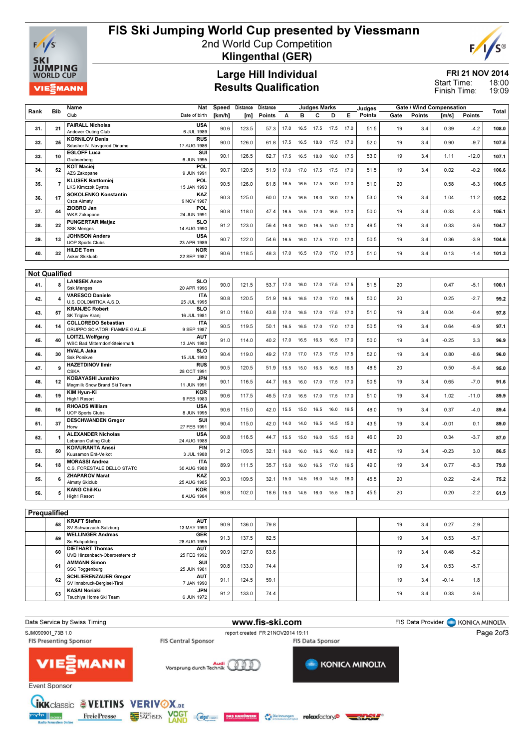

# FIS Ski Jumping World Cup presented by Viessmann

2nd World Cup Competition Klingenthal (GER)

### Large Hill Individual Results Qualification

#### FRI 21 NOV 2014 18:00 Start Time:

 $F$ 

19:09 Finish Time:

| Rank         | Bib                  | Name<br>Club                                                       | Nat<br>Date of birth      | Speed<br>[km/h] | Distance<br>[m] | Distance<br>Points | A    | в         | <b>Judges Marks</b><br>с | D                   | Е.   | Judges<br>Points | Gate | Points | <b>Gate / Wind Compensation</b><br>$\mathsf{[m/s]}$ | <b>Points</b> | Total |
|--------------|----------------------|--------------------------------------------------------------------|---------------------------|-----------------|-----------------|--------------------|------|-----------|--------------------------|---------------------|------|------------------|------|--------|-----------------------------------------------------|---------------|-------|
| 31.          | 21                   | <b>FAIRALL Nicholas</b><br>Andover Outing Club                     | <b>USA</b><br>6 JUL 1989  | 90.6            | 123.5           | 57.3               | 17.0 | 16.5      | 17.5                     | 17.5 17.0           |      | 51.5             | 19   | 3.4    | 0.39                                                | $-4.2$        | 108.0 |
| 32.          | 25                   | <b>KORNILOV Denis</b>                                              | <b>RUS</b>                | 90.0            | 126.0           | 61.8               | 17.5 | 16.5      | 18.0                     | 17.5                | 17.0 | 52.0             | 19   | 3.4    | 0.90                                                | $-9.7$        | 107.5 |
|              |                      | Sdushor N. Novgorod Dinamo<br><b>EGLOFF Luca</b>                   | 17 AUG 1986<br>SUI        | 90.1            | 126.5           | 62.7               |      |           |                          |                     |      | 53.0             | 19   | 3.4    | 1.11                                                | $-12.0$       |       |
| 33.          | 10                   | Grabserberg<br><b>KOT Maciej</b>                                   | 6 JUN 1995<br>POL         |                 |                 |                    | 17.5 | 16.5      | 18.0                     | 18.0 17.5           |      |                  |      |        |                                                     |               | 107.1 |
| 34.          | 52                   | AZS Zakopane                                                       | 9 JUN 1991                | 90.7            | 120.5           | 51.9               | 17.0 | 17.0      | 17.5                     | 17.5                | 17.0 | 51.5             | 19   | 3.4    | 0.02                                                | $-0.2$        | 106.6 |
| 35.          | 7                    | <b>KLUSEK Bartlomiej</b><br>LKS Klmczok Bystra                     | <b>POL</b><br>15 JAN 1993 | 90.5            | 126.0           | 61.8               | 16.5 | 16.5      | 17.5                     | 18.0                | 17.0 | 51.0             | 20   |        | 0.58                                                | $-6.3$        | 106.5 |
| 36.          | 17                   | SOKOLENKO Konstantin<br>Csca Almaty                                | KAZ<br>9 NOV 1987         | 90.3            | 125.0           | 60.0               | 17.5 | 16.5      | 18.0                     | 18.0                | 17.5 | 53.0             | 19   | 3.4    | 1.04                                                | $-11.2$       | 105.2 |
| 37.          | 44                   | ZIOBRO Jan<br><b>WKS Zakopane</b>                                  | POL<br>24 JUN 1991        | 90.8            | 118.0           | 47.4               | 16.5 | 15.5      | 17.0                     | 16.5                | 17.0 | 50.0             | 19   | 3.4    | $-0.33$                                             | 4.3           | 105.1 |
| 38.          | 22                   | <b>PUNGERTAR Matjaz</b>                                            | <b>SLO</b>                | 91.2            | 123.0           | 56.4               | 16.0 | 16.0      | 16.5                     | 15.0 17.0           |      | 48.5             | 19   | 3.4    | 0.33                                                | $-3.6$        | 104.7 |
| 39.          | 13                   | <b>SSK Menges</b><br><b>JOHNSON Anders</b>                         | 14 AUG 1990<br><b>USA</b> | 90.7            | 122.0           | 54.6               | 16.5 | 16.0      | 17.5                     | 17.0                | 17.0 | 50.5             | 19   | 3.4    | 0.36                                                | $-3.9$        | 104.6 |
|              |                      | <b>UOP Sports Clubs</b><br><b>HILDE Tom</b>                        | 23 APR 1989<br><b>NOR</b> |                 |                 |                    |      |           |                          |                     |      |                  |      |        |                                                     |               |       |
| 40.          | 32                   | Asker Skiklubb                                                     | 22 SEP 1987               | 90.6            | 118.5           | 48.3               | 17.0 | 16.5      | 17.0                     | 17.0                | 17.5 | 51.0             | 19   | 3.4    | 0.13                                                | $-1.4$        | 101.3 |
|              | <b>Not Qualified</b> |                                                                    |                           |                 |                 |                    |      |           |                          |                     |      |                  |      |        |                                                     |               |       |
|              |                      | <b>LANISEK Anze</b>                                                | <b>SLO</b>                |                 |                 |                    |      |           |                          |                     |      |                  |      |        |                                                     |               |       |
| 41.          |                      | <b>Ssk Menges</b>                                                  | 20 APR 1996               | 90.0            | 121.5           | 53.7               | 17.0 | 16.0 17.0 |                          | 17.5 17.5           |      | 51.5             | 20   |        | 0.47                                                | $-5.1$        | 100.1 |
| 42.          |                      | <b>VARESCO Daniele</b><br>U.S. DOLOMITICA A.S.D.                   | <b>ITA</b><br>25 JUL 1995 | 90.8            | 120.5           | 51.9               | 16.5 | 16.5      | 17.0                     | 17.0                | 16.5 | 50.0             | 20   |        | 0.25                                                | $-2.7$        | 99.2  |
| 43.          | 57                   | <b>KRANJEC Robert</b><br>SK Triglav Kranj                          | <b>SLO</b><br>16 JUL 1981 | 91.0            | 116.0           | 43.8               | 17.0 | 16.5      | 17.0                     | 17.5                | 17.0 | 51.0             | 19   | 3.4    | 0.04                                                | $-0.4$        | 97.8  |
| 44.          | 14                   | <b>COLLOREDO Sebastian</b><br><b>GRUPPO SCIATORI FIAMME GIALLE</b> | <b>ITA</b><br>9 SEP 1987  | 90.5            | 119.5           | 50.1               | 16.5 | 16.5      | 17.0                     | 17.0 17.0           |      | 50.5             | 19   | 3.4    | 0.64                                                | $-6.9$        | 97.1  |
| 45.          | 40                   | <b>LOITZL Wolfgang</b><br>WSC Bad Mitterndorf-Steiermark           | <b>AUT</b><br>13 JAN 1980 | 91.0            | 114.0           | 40.2               | 17.0 | 16.5      | 16.5                     | 16.5                | 17.0 | 50.0             | 19   | 3.4    | $-0.25$                                             | 3.3           | 96.9  |
| 46.          | 30                   | <b>HVALA Jaka</b><br><b>Ssk Ponikve</b>                            | <b>SLO</b><br>15 JUL 1993 | 90.4            | 119.0           | 49.2               | 17.0 |           |                          | 17.0 17.5 17.5 17.5 |      | 52.0             | 19   | 3.4    | 0.80                                                | $-8.6$        | 96.0  |
| 47.          | 9                    | <b>HAZETDINOV Ilmir</b><br><b>CSKA</b>                             | <b>RUS</b><br>28 OCT 1991 | 90.5            | 120.5           | 51.9               | 15.5 | 15.0      | 16.5                     | 16.5                | 16.5 | 48.5             | 20   |        | 0.50                                                | $-5.4$        | 95.0  |
| 48.          | 12                   | <b>KOBAYASHI Junshiro</b><br>Megmilk Snow Brand Ski Team           | JPN<br>11 JUN 1991        | 90.1            | 116.5           | 44.7               | 16.5 | 16.0      | 17.0                     | 17.5                | 17.0 | 50.5             | 19   | 3.4    | 0.65                                                | $-7.0$        | 91.6  |
| 49.          | 19                   | KIM Hyun-Ki<br>High1 Resort                                        | KOR<br>9 FEB 1983         | 90.6            | 117.5           | 46.5               | 17.0 | 16.5      | 17.0                     | 17.5 17.0           |      | 51.0             | 19   | 3.4    | 1.02                                                | $-11.0$       | 89.9  |
| 50.          | 16                   | <b>RHOADS William</b>                                              | <b>USA</b>                | 90.6            | 115.0           | 42.0               | 15.5 | 15.0      | 16.5                     | 16.0                | 16.5 | 48.0             | 19   | 3.4    | 0.37                                                | -4.0          | 89.4  |
| 51.          | 37                   | <b>UOP Sports Clubs</b><br><b>DESCHWANDEN Gregor</b>               | 8 JUN 1995<br>SUI         | 90.4            | 115.0           | 42.0               | 14.0 | 14.0      | 16.5                     | 14.5 15.0           |      | 43.5             | 19   | 3.4    | $-0.01$                                             | 0.1           | 89.0  |
|              |                      | Horw<br><b>ALEXANDER Nicholas</b>                                  | 27 FEB 1991<br><b>USA</b> |                 |                 |                    |      |           |                          |                     |      |                  |      |        |                                                     |               |       |
| 52.          |                      | Lebanon Outing Club                                                | 24 AUG 1988               | 90.8            | 116.5           | 44.7               | 15.5 | 15.0      | 16.0                     | 15.5                | 15.0 | 46.0             | 20   |        | 0.34                                                | $-3.7$        | 87.0  |
| 53.          | 50                   | <b>KOIVURANTA Anssi</b><br>Kuusamon Erä-Veikot                     | <b>FIN</b><br>3 JUL 1988  | 91.2            | 109.5           | 32.1               | 16.0 | 16.0      | 16.5                     | 16.0                | 16.0 | 48.0             | 19   | 3.4    | $-0.23$                                             | 3.0           | 86.5  |
| 54.          | 18                   | <b>MORASSI Andrea</b><br>C.S. FORESTALE DELLO STATO                | <b>ITA</b><br>30 AUG 1988 | 89.9            | 111.5           | 35.7               | 15.0 | 16.0      | 16.5                     | 17.0                | 16.5 | 49.0             | 19   | 3.4    | 0.77                                                | $-8.3$        | 79.8  |
| 55.          |                      | <b>ZHAPAROV Marat</b><br>Almaty Skiclub                            | KAZ<br>25 AUG 1985        | 90.3            | 109.5           | 32.1               | 15.0 | 14.5      | 16.0                     | 14.5                | 16.0 | 45.5             | 20   |        | 0.22                                                | $-2.4$        | 75.2  |
| 56.          | 5                    | <b>KANG Chil-Ku</b><br>High1 Resort                                | KOR<br>8 AUG 1984         | 90.8            | 102.0           | 18.6               | 15.0 | 14.5 16.0 |                          | 15.5 15.0           |      | 45.5             | 20   |        | 0.20                                                | $-2.2$        | 61.9  |
|              |                      |                                                                    |                           |                 |                 |                    |      |           |                          |                     |      |                  |      |        |                                                     |               |       |
| Prequalified |                      |                                                                    |                           |                 |                 |                    |      |           |                          |                     |      |                  |      |        |                                                     |               |       |
|              | 58                   | <b>KRAFT Stefan</b><br>SV Schwarzach-Salzburg                      | <b>AUT</b><br>13 MAY 1993 | 90.9            | 136.0           | 79.8               |      |           |                          |                     |      |                  | 19   | 3.4    | 0.27                                                | $-2.9$        |       |
|              | 59                   | <b>WELLINGER Andreas</b>                                           | GER                       | 91.3            | 137.5           | 82.5               |      |           |                          |                     |      |                  | 19   | 3.4    | 0.53                                                | $-5.7$        |       |
|              |                      | Sc Ruhpolding<br><b>DIETHART Thomas</b>                            | 28 AUG 1995<br><b>AUT</b> |                 |                 |                    |      |           |                          |                     |      |                  |      |        |                                                     |               |       |
|              | 60                   | UVB Hinzenbach-Oberoesterreich                                     | 25 FEB 1992               | 90.9            | 127.0           | 63.6               |      |           |                          |                     |      |                  | 19   | 3.4    | 0.48                                                | $-5.2$        |       |
|              | 61                   | <b>AMMANN Simon</b><br>SSC Toggenburg                              | SUI<br>25 JUN 1981        | 90.8            | 133.0           | 74.4               |      |           |                          |                     |      |                  | 19   | 3.4    | 0.53                                                | $-5.7$        |       |
|              | 62                   | <b>SCHLIERENZAUER Gregor</b><br>SV Innsbruck-Bergisel-Tirol        | <b>AUT</b><br>7 JAN 1990  | 91.1            | 124.5           | 59.1               |      |           |                          |                     |      |                  | 19   | 3.4    | $-0.14$                                             | 1.8           |       |
|              | 63                   | <b>KASAI Noriaki</b>                                               | JPN                       | 91.2            | 133.0           | 74.4               |      |           |                          |                     |      |                  | 19   | 3.4    | 0.33                                                | $-3.6$        |       |
|              |                      | Tsuchiya Home Ski Team                                             | 6 JUN 1972                |                 |                 |                    |      |           |                          |                     |      |                  |      |        |                                                     |               |       |